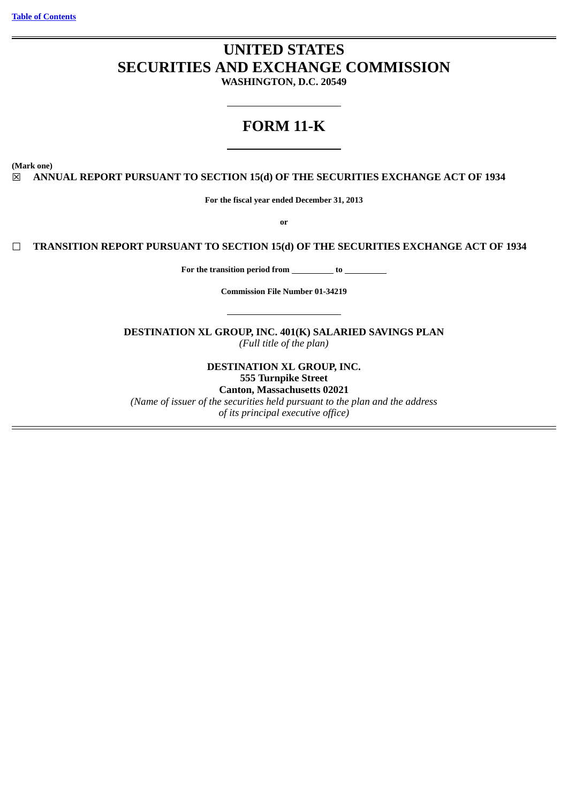## **UNITED STATES SECURITIES AND EXCHANGE COMMISSION**

**WASHINGTON, D.C. 20549**

## **FORM 11-K**

**(Mark one)**

☒ **ANNUAL REPORT PURSUANT TO SECTION 15(d) OF THE SECURITIES EXCHANGE ACT OF 1934**

**For the fiscal year ended December 31, 2013**

**or**

☐ **TRANSITION REPORT PURSUANT TO SECTION 15(d) OF THE SECURITIES EXCHANGE ACT OF 1934**

For the transition period from \_\_\_\_\_\_\_\_\_\_ to \_\_

**Commission File Number 01-34219**

**DESTINATION XL GROUP, INC. 401(K) SALARIED SAVINGS PLAN** *(Full title of the plan)*

> **DESTINATION XL GROUP, INC. 555 Turnpike Street**

**Canton, Massachusetts 02021** *(Name of issuer of the securities held pursuant to the plan and the address of its principal executive office)*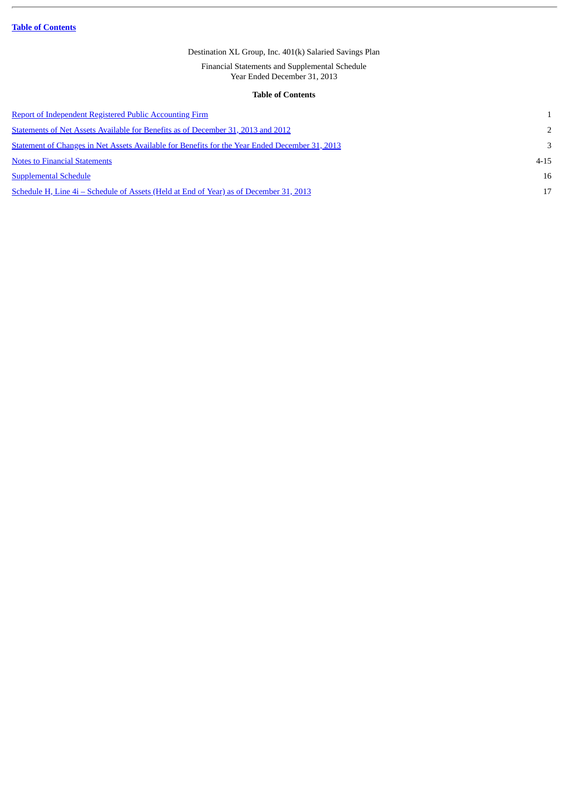Financial Statements and Supplemental Schedule Year Ended December 31, 2013

## **Table of Contents**

<span id="page-1-0"></span>

| <b>Report of Independent Registered Public Accounting Firm</b>                                 |               |
|------------------------------------------------------------------------------------------------|---------------|
| Statements of Net Assets Available for Benefits as of December 31, 2013 and 2012               | $\mathcal{P}$ |
| Statement of Changes in Net Assets Available for Benefits for the Year Ended December 31, 2013 | 3             |
| <b>Notes to Financial Statements</b>                                                           | $4 - 15$      |
| <b>Supplemental Schedule</b>                                                                   | 16            |
| Schedule H, Line 4i – Schedule of Assets (Held at End of Year) as of December 31, 2013         | 17            |
|                                                                                                |               |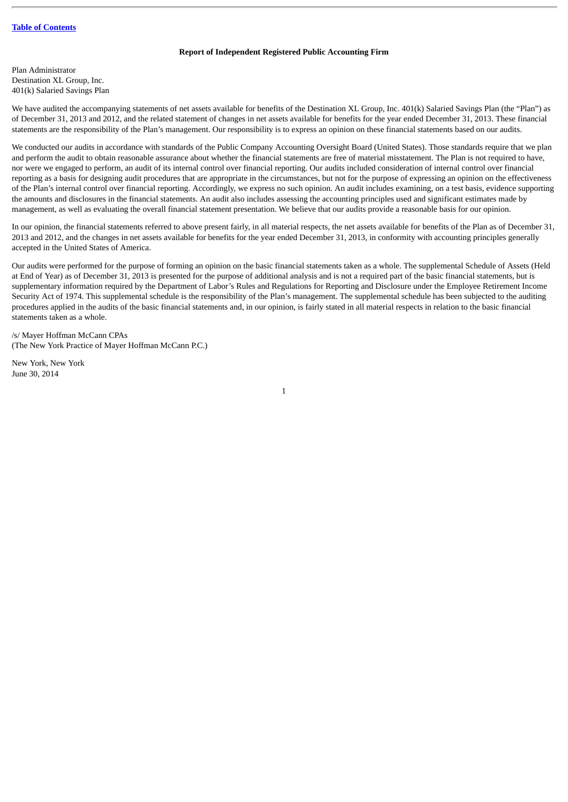#### **Report of Independent Registered Public Accounting Firm**

<span id="page-2-0"></span>Plan Administrator Destination XL Group, Inc. 401(k) Salaried Savings Plan

We have audited the accompanying statements of net assets available for benefits of the Destination XL Group, Inc. 401(k) Salaried Savings Plan (the "Plan") as of December 31, 2013 and 2012, and the related statement of changes in net assets available for benefits for the year ended December 31, 2013. These financial statements are the responsibility of the Plan's management. Our responsibility is to express an opinion on these financial statements based on our audits.

We conducted our audits in accordance with standards of the Public Company Accounting Oversight Board (United States). Those standards require that we plan and perform the audit to obtain reasonable assurance about whether the financial statements are free of material misstatement. The Plan is not required to have, nor were we engaged to perform, an audit of its internal control over financial reporting. Our audits included consideration of internal control over financial reporting as a basis for designing audit procedures that are appropriate in the circumstances, but not for the purpose of expressing an opinion on the effectiveness of the Plan's internal control over financial reporting. Accordingly, we express no such opinion. An audit includes examining, on a test basis, evidence supporting the amounts and disclosures in the financial statements. An audit also includes assessing the accounting principles used and significant estimates made by management, as well as evaluating the overall financial statement presentation. We believe that our audits provide a reasonable basis for our opinion.

In our opinion, the financial statements referred to above present fairly, in all material respects, the net assets available for benefits of the Plan as of December 31, 2013 and 2012, and the changes in net assets available for benefits for the year ended December 31, 2013, in conformity with accounting principles generally accepted in the United States of America.

Our audits were performed for the purpose of forming an opinion on the basic financial statements taken as a whole. The supplemental Schedule of Assets (Held at End of Year) as of December 31, 2013 is presented for the purpose of additional analysis and is not a required part of the basic financial statements, but is supplementary information required by the Department of Labor's Rules and Regulations for Reporting and Disclosure under the Employee Retirement Income Security Act of 1974. This supplemental schedule is the responsibility of the Plan's management. The supplemental schedule has been subjected to the auditing procedures applied in the audits of the basic financial statements and, in our opinion, is fairly stated in all material respects in relation to the basic financial statements taken as a whole.

/s/ Mayer Hoffman McCann CPAs (The New York Practice of Mayer Hoffman McCann P.C.)

New York, New York June 30, 2014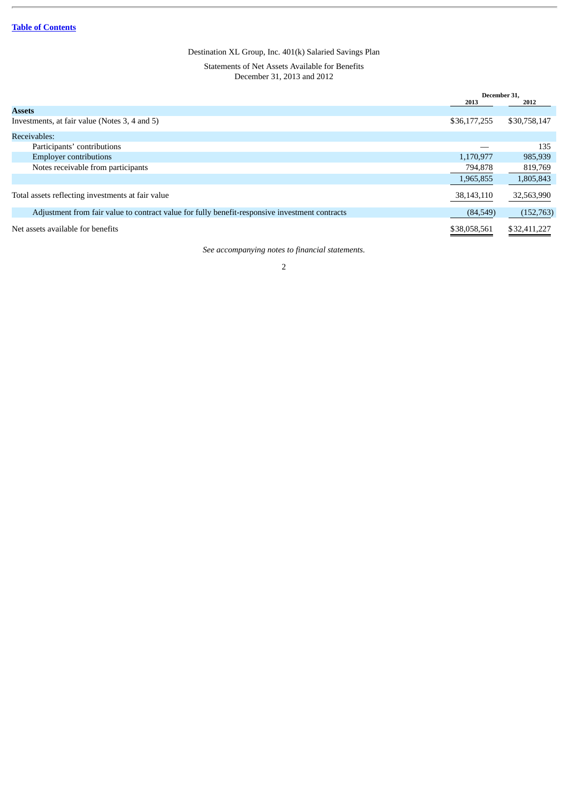Statements of Net Assets Available for Benefits December 31, 2013 and 2012

<span id="page-3-0"></span>

|                                                                                                | December 31, |              |
|------------------------------------------------------------------------------------------------|--------------|--------------|
|                                                                                                | 2013         | 2012         |
| <b>Assets</b>                                                                                  |              |              |
| Investments, at fair value (Notes 3, 4 and 5)                                                  | \$36,177,255 | \$30,758,147 |
| Receivables:                                                                                   |              |              |
| Participants' contributions                                                                    |              | 135          |
| <b>Employer contributions</b>                                                                  | 1,170,977    | 985,939      |
| Notes receivable from participants                                                             | 794,878      | 819,769      |
|                                                                                                | 1,965,855    | 1,805,843    |
| Total assets reflecting investments at fair value                                              | 38,143,110   | 32,563,990   |
| Adjustment from fair value to contract value for fully benefit-responsive investment contracts | (84,549)     | (152, 763)   |
| Net assets available for benefits                                                              | \$38,058,561 | \$32,411,227 |

*See accompanying notes to financial statements.*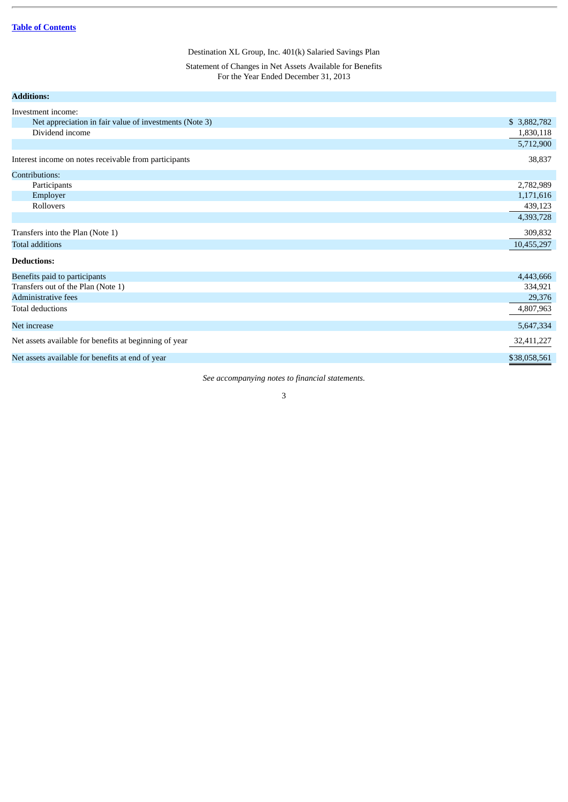Statement of Changes in Net Assets Available for Benefits For the Year Ended December 31, 2013

<span id="page-4-0"></span>

| \$3,882,782  |
|--------------|
| 1,830,118    |
| 5,712,900    |
| 38,837       |
|              |
| 2,782,989    |
| 1,171,616    |
| 439,123      |
| 4,393,728    |
| 309,832      |
| 10,455,297   |
|              |
| 4,443,666    |
| 334,921      |
| 29,376       |
| 4,807,963    |
| 5,647,334    |
| 32,411,227   |
| \$38,058,561 |
|              |

*See accompanying notes to financial statements.*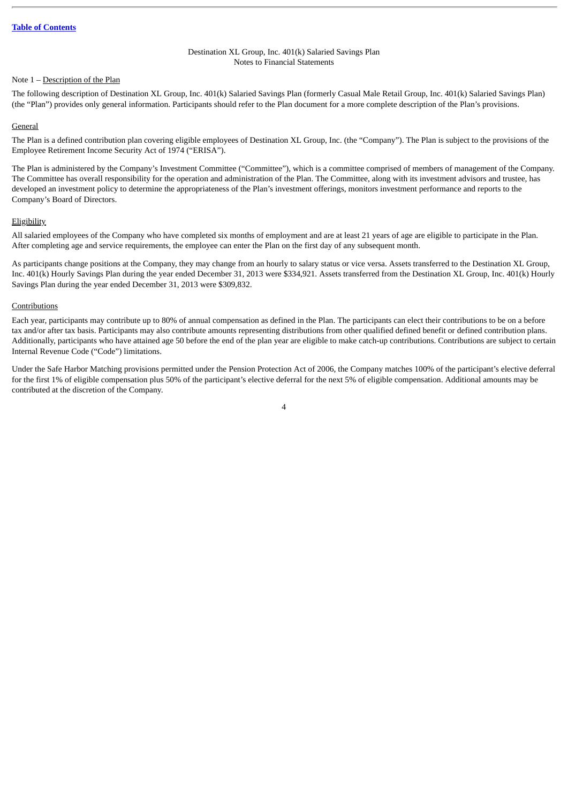## <span id="page-5-0"></span>Note 1 – Description of the Plan

The following description of Destination XL Group, Inc. 401(k) Salaried Savings Plan (formerly Casual Male Retail Group, Inc. 401(k) Salaried Savings Plan) (the "Plan") provides only general information. Participants should refer to the Plan document for a more complete description of the Plan's provisions.

#### General

The Plan is a defined contribution plan covering eligible employees of Destination XL Group, Inc. (the "Company"). The Plan is subject to the provisions of the Employee Retirement Income Security Act of 1974 ("ERISA").

The Plan is administered by the Company's Investment Committee ("Committee"), which is a committee comprised of members of management of the Company. The Committee has overall responsibility for the operation and administration of the Plan. The Committee, along with its investment advisors and trustee, has developed an investment policy to determine the appropriateness of the Plan's investment offerings, monitors investment performance and reports to the Company's Board of Directors.

#### **Eligibility**

All salaried employees of the Company who have completed six months of employment and are at least 21 years of age are eligible to participate in the Plan. After completing age and service requirements, the employee can enter the Plan on the first day of any subsequent month.

As participants change positions at the Company, they may change from an hourly to salary status or vice versa. Assets transferred to the Destination XL Group, Inc. 401(k) Hourly Savings Plan during the year ended December 31, 2013 were \$334,921. Assets transferred from the Destination XL Group, Inc. 401(k) Hourly Savings Plan during the year ended December 31, 2013 were \$309,832.

#### **Contributions**

Each year, participants may contribute up to 80% of annual compensation as defined in the Plan. The participants can elect their contributions to be on a before tax and/or after tax basis. Participants may also contribute amounts representing distributions from other qualified defined benefit or defined contribution plans. Additionally, participants who have attained age 50 before the end of the plan year are eligible to make catch-up contributions. Contributions are subject to certain Internal Revenue Code ("Code") limitations.

Under the Safe Harbor Matching provisions permitted under the Pension Protection Act of 2006, the Company matches 100% of the participant's elective deferral for the first 1% of eligible compensation plus 50% of the participant's elective deferral for the next 5% of eligible compensation. Additional amounts may be contributed at the discretion of the Company.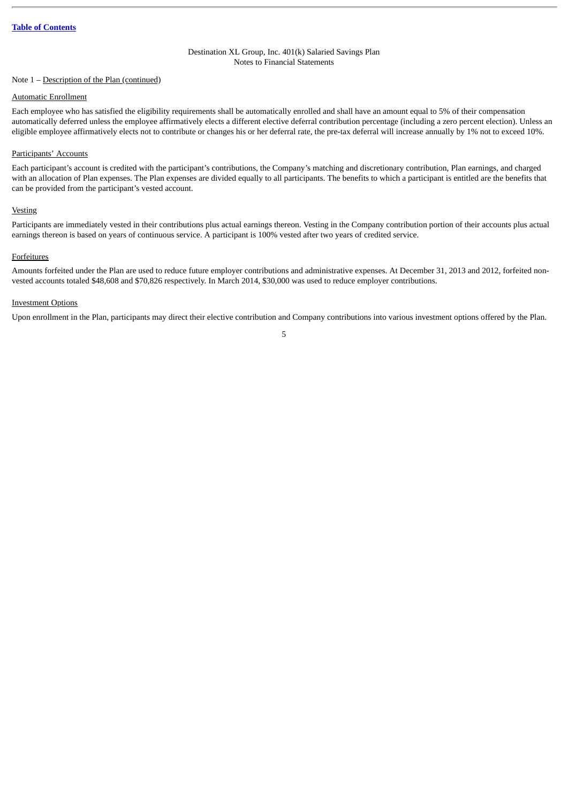#### Note 1 – Description of the Plan (continued)

#### Automatic Enrollment

Each employee who has satisfied the eligibility requirements shall be automatically enrolled and shall have an amount equal to 5% of their compensation automatically deferred unless the employee affirmatively elects a different elective deferral contribution percentage (including a zero percent election). Unless an eligible employee affirmatively elects not to contribute or changes his or her deferral rate, the pre-tax deferral will increase annually by 1% not to exceed 10%.

## Participants' Accounts

Each participant's account is credited with the participant's contributions, the Company's matching and discretionary contribution, Plan earnings, and charged with an allocation of Plan expenses. The Plan expenses are divided equally to all participants. The benefits to which a participant is entitled are the benefits that can be provided from the participant's vested account.

#### Vesting

Participants are immediately vested in their contributions plus actual earnings thereon. Vesting in the Company contribution portion of their accounts plus actual earnings thereon is based on years of continuous service. A participant is 100% vested after two years of credited service.

#### Forfeitures

Amounts forfeited under the Plan are used to reduce future employer contributions and administrative expenses. At December 31, 2013 and 2012, forfeited nonvested accounts totaled \$48,608 and \$70,826 respectively. In March 2014, \$30,000 was used to reduce employer contributions.

#### Investment Options

Upon enrollment in the Plan, participants may direct their elective contribution and Company contributions into various investment options offered by the Plan.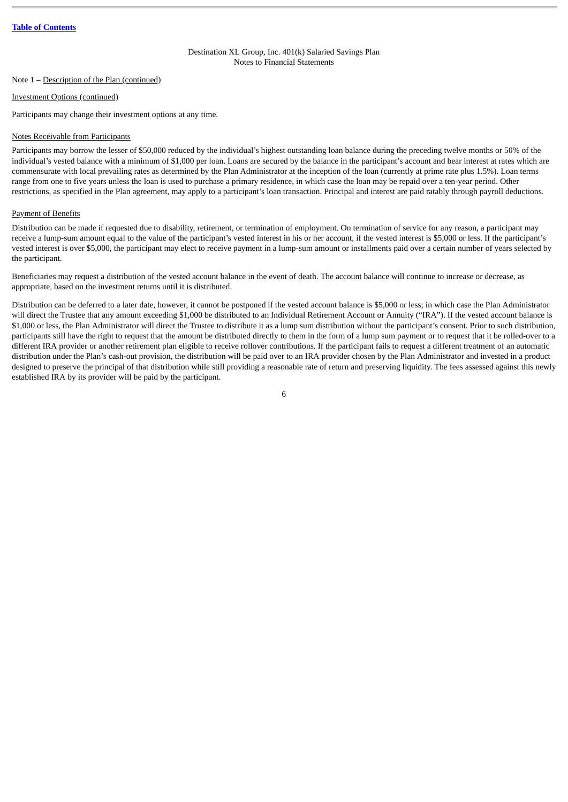Note 1 – Description of the Plan (continued)

#### Investment Options (continued)

Participants may change their investment options at any time.

#### Notes Receivable from Participants

Participants may borrow the lesser of \$50,000 reduced by the individual's highest outstanding loan balance during the preceding twelve months or 50% of the individual's vested balance with a minimum of \$1,000 per loan. Loans are secured by the balance in the participant's account and bear interest at rates which are commensurate with local prevailing rates as determined by the Plan Administrator at the inception of the loan (currently at prime rate plus 1.5%). Loan terms range from one to five years unless the loan is used to purchase a primary residence, in which case the loan may be repaid over a ten-year period. Other restrictions, as specified in the Plan agreement, may apply to a participant's loan transaction. Principal and interest are paid ratably through payroll deductions.

#### Payment of Benefits

Distribution can be made if requested due to disability, retirement, or termination of employment. On termination of service for any reason, a participant may receive a lump-sum amount equal to the value of the participant's vested interest in his or her account, if the vested interest is \$5,000 or less. If the participant's vested interest is over \$5,000, the participant may elect to receive payment in a lump-sum amount or installments paid over a certain number of years selected by the participant.

Beneficiaries may request a distribution of the vested account balance in the event of death. The account balance will continue to increase or decrease, as appropriate, based on the investment returns until it is distributed.

Distribution can be deferred to a later date, however, it cannot be postponed if the vested account balance is \$5,000 or less; in which case the Plan Administrator will direct the Trustee that any amount exceeding \$1,000 be distributed to an Individual Retirement Account or Annuity ("IRA"). If the vested account balance is \$1,000 or less, the Plan Administrator will direct the Trustee to distribute it as a lump sum distribution without the participant's consent. Prior to such distribution, participants still have the right to request that the amount be distributed directly to them in the form of a lump sum payment or to request that it be rolled-over to a different IRA provider or another retirement plan eligible to receive rollover contributions. If the participant fails to request a different treatment of an automatic distribution under the Plan's cash-out provision, the distribution will be paid over to an IRA provider chosen by the Plan Administrator and invested in a product designed to preserve the principal of that distribution while still providing a reasonable rate of return and preserving liquidity. The fees assessed against this newly established IRA by its provider will be paid by the participant.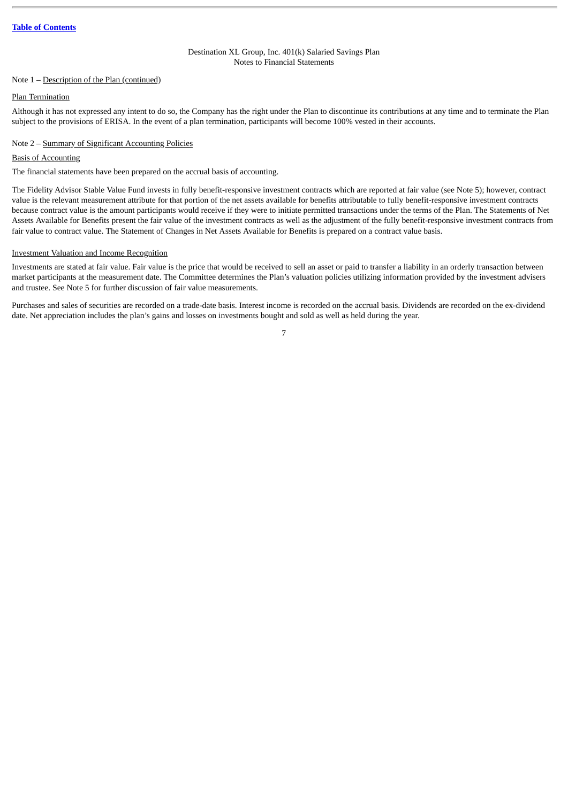## Note 1 – Description of the Plan (continued)

#### Plan Termination

Although it has not expressed any intent to do so, the Company has the right under the Plan to discontinue its contributions at any time and to terminate the Plan subject to the provisions of ERISA. In the event of a plan termination, participants will become 100% vested in their accounts.

#### Note 2 – Summary of Significant Accounting Policies

#### Basis of Accounting

The financial statements have been prepared on the accrual basis of accounting.

The Fidelity Advisor Stable Value Fund invests in fully benefit-responsive investment contracts which are reported at fair value (see Note 5); however, contract value is the relevant measurement attribute for that portion of the net assets available for benefits attributable to fully benefit-responsive investment contracts because contract value is the amount participants would receive if they were to initiate permitted transactions under the terms of the Plan. The Statements of Net Assets Available for Benefits present the fair value of the investment contracts as well as the adjustment of the fully benefit-responsive investment contracts from fair value to contract value. The Statement of Changes in Net Assets Available for Benefits is prepared on a contract value basis.

#### Investment Valuation and Income Recognition

Investments are stated at fair value. Fair value is the price that would be received to sell an asset or paid to transfer a liability in an orderly transaction between market participants at the measurement date. The Committee determines the Plan's valuation policies utilizing information provided by the investment advisers and trustee. See Note 5 for further discussion of fair value measurements.

Purchases and sales of securities are recorded on a trade-date basis. Interest income is recorded on the accrual basis. Dividends are recorded on the ex-dividend date. Net appreciation includes the plan's gains and losses on investments bought and sold as well as held during the year.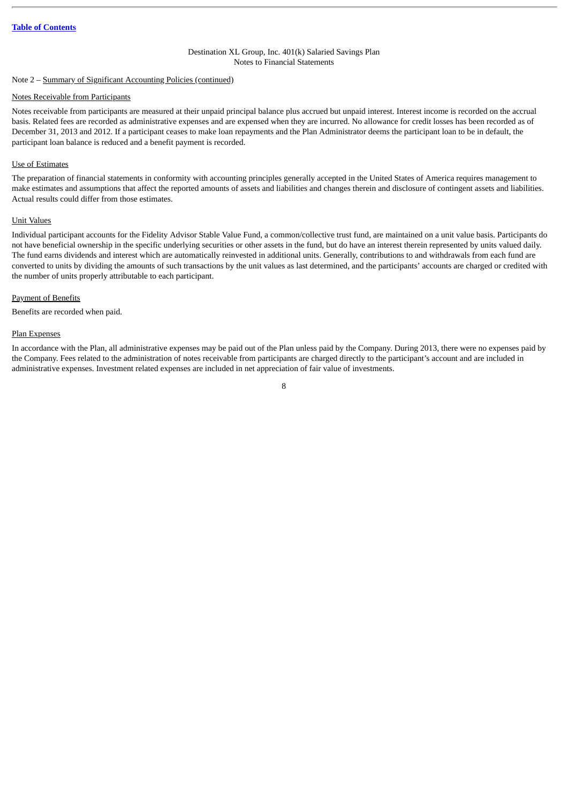#### Note 2 – Summary of Significant Accounting Policies (continued)

#### Notes Receivable from Participants

Notes receivable from participants are measured at their unpaid principal balance plus accrued but unpaid interest. Interest income is recorded on the accrual basis. Related fees are recorded as administrative expenses and are expensed when they are incurred. No allowance for credit losses has been recorded as of December 31, 2013 and 2012. If a participant ceases to make loan repayments and the Plan Administrator deems the participant loan to be in default, the participant loan balance is reduced and a benefit payment is recorded.

#### Use of Estimates

The preparation of financial statements in conformity with accounting principles generally accepted in the United States of America requires management to make estimates and assumptions that affect the reported amounts of assets and liabilities and changes therein and disclosure of contingent assets and liabilities. Actual results could differ from those estimates.

#### Unit Values

Individual participant accounts for the Fidelity Advisor Stable Value Fund, a common/collective trust fund, are maintained on a unit value basis. Participants do not have beneficial ownership in the specific underlying securities or other assets in the fund, but do have an interest therein represented by units valued daily. The fund earns dividends and interest which are automatically reinvested in additional units. Generally, contributions to and withdrawals from each fund are converted to units by dividing the amounts of such transactions by the unit values as last determined, and the participants' accounts are charged or credited with the number of units properly attributable to each participant.

#### Payment of Benefits

Benefits are recorded when paid.

#### Plan Expenses

In accordance with the Plan, all administrative expenses may be paid out of the Plan unless paid by the Company. During 2013, there were no expenses paid by the Company. Fees related to the administration of notes receivable from participants are charged directly to the participant's account and are included in administrative expenses. Investment related expenses are included in net appreciation of fair value of investments.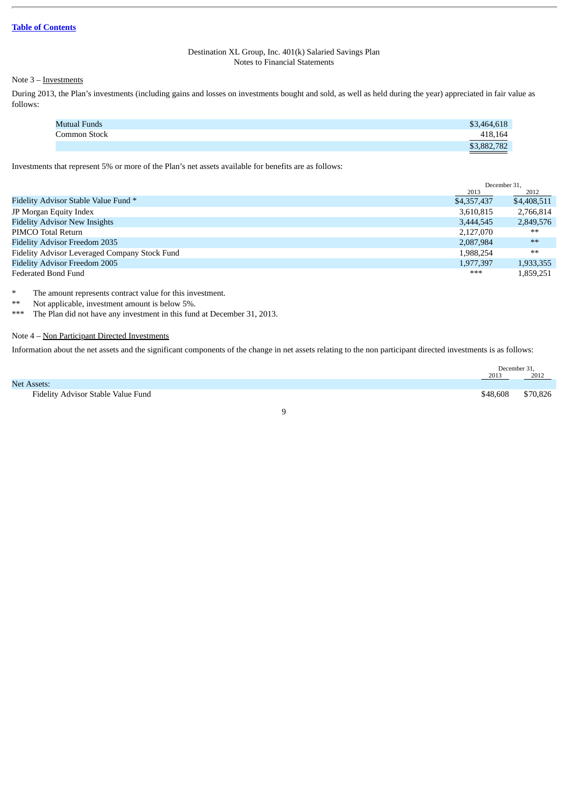## Note 3 – Investments

During 2013, the Plan's investments (including gains and losses on investments bought and sold, as well as held during the year) appreciated in fair value as follows:

| Mutual Funds | \$3,464,618 |
|--------------|-------------|
| Common Stock | 418.164     |
|              | \$3,882,782 |

Investments that represent 5% or more of the Plan's net assets available for benefits are as follows:

|                                               | December 31. |             |
|-----------------------------------------------|--------------|-------------|
|                                               | 2013         | 2012        |
| Fidelity Advisor Stable Value Fund *          | \$4,357,437  | \$4,408,511 |
| JP Morgan Equity Index                        | 3,610,815    | 2,766,814   |
| <b>Fidelity Advisor New Insights</b>          | 3,444,545    | 2,849,576   |
| PIMCO Total Return                            | 2,127,070    | **          |
| <b>Fidelity Advisor Freedom 2035</b>          | 2,087,984    | $**$        |
| Fidelity Advisor Leveraged Company Stock Fund | 1,988,254    | **          |
| <b>Fidelity Advisor Freedom 2005</b>          | 1,977,397    | 1,933,355   |
| Federated Bond Fund                           | ***          | 1.859.251   |

The amount represents contract value for this investment.

Not applicable, investment amount is below 5%.

\*\*\* The Plan did not have any investment in this fund at December 31, 2013.

#### Note 4 – Non Participant Directed Investments

Information about the net assets and the significant components of the change in net assets relating to the non participant directed investments is as follows:

|                                    |          | December 31. |
|------------------------------------|----------|--------------|
|                                    | 2013     | 2012         |
| <b>Net Assets:</b>                 |          |              |
| Fidelity Advisor Stable Value Fund | \$48,608 | \$70,826     |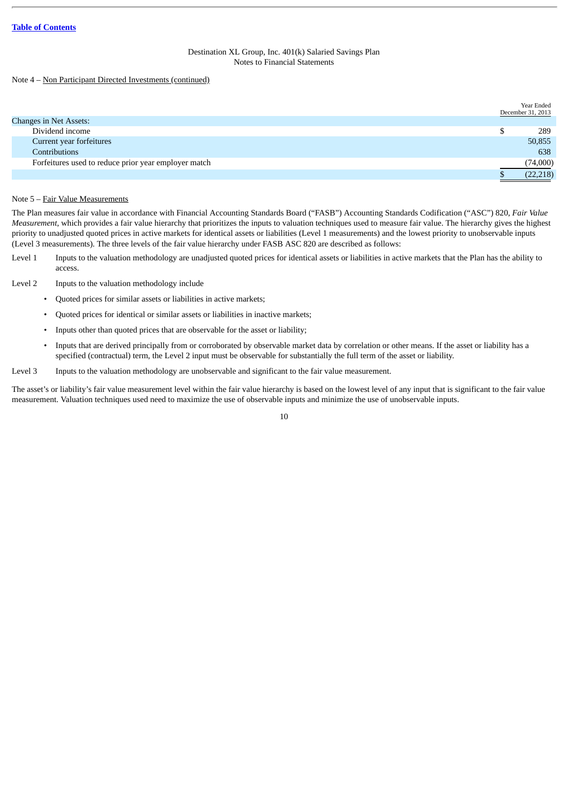#### Note 4 – Non Participant Directed Investments (continued)

|                                                      | <b>Year Ended</b><br>December 31, 2013 |
|------------------------------------------------------|----------------------------------------|
| Changes in Net Assets:                               |                                        |
| Dividend income                                      | 289                                    |
| Current year forfeitures                             | 50,855                                 |
| <b>Contributions</b>                                 | 638                                    |
| Forfeitures used to reduce prior year employer match | (74,000)                               |
|                                                      | (22, 218)                              |

#### Note 5 – Fair Value Measurements

The Plan measures fair value in accordance with Financial Accounting Standards Board ("FASB") Accounting Standards Codification ("ASC") 820, *Fair Value Measurement*, which provides a fair value hierarchy that prioritizes the inputs to valuation techniques used to measure fair value. The hierarchy gives the highest priority to unadjusted quoted prices in active markets for identical assets or liabilities (Level 1 measurements) and the lowest priority to unobservable inputs (Level 3 measurements). The three levels of the fair value hierarchy under FASB ASC 820 are described as follows:

- Level 1 Inputs to the valuation methodology are unadjusted quoted prices for identical assets or liabilities in active markets that the Plan has the ability to access.
- Level 2 Inputs to the valuation methodology include
	- Quoted prices for similar assets or liabilities in active markets;
	- Quoted prices for identical or similar assets or liabilities in inactive markets;
	- Inputs other than quoted prices that are observable for the asset or liability;
	- Inputs that are derived principally from or corroborated by observable market data by correlation or other means. If the asset or liability has a specified (contractual) term, the Level 2 input must be observable for substantially the full term of the asset or liability.
- Level 3 Inputs to the valuation methodology are unobservable and significant to the fair value measurement.

The asset's or liability's fair value measurement level within the fair value hierarchy is based on the lowest level of any input that is significant to the fair value measurement. Valuation techniques used need to maximize the use of observable inputs and minimize the use of unobservable inputs.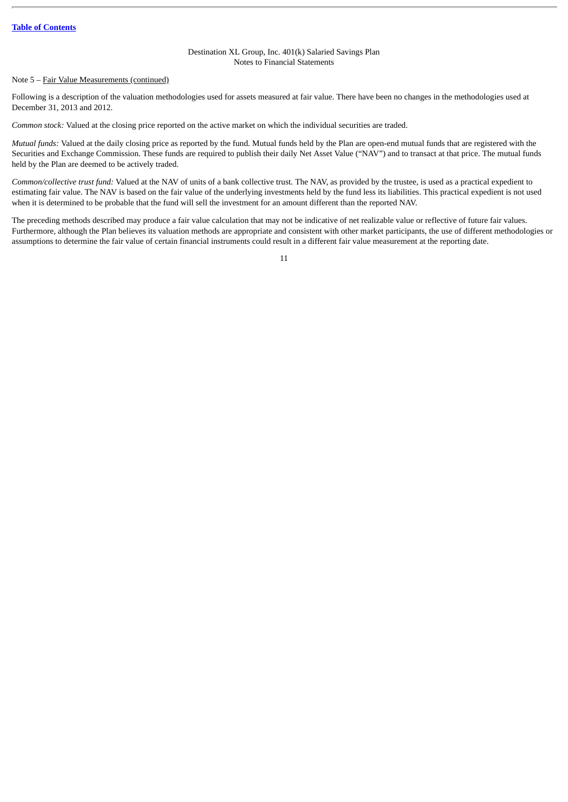#### Note 5 – Fair Value Measurements (continued)

Following is a description of the valuation methodologies used for assets measured at fair value. There have been no changes in the methodologies used at December 31, 2013 and 2012.

*Common stock:* Valued at the closing price reported on the active market on which the individual securities are traded.

*Mutual funds:* Valued at the daily closing price as reported by the fund. Mutual funds held by the Plan are open-end mutual funds that are registered with the Securities and Exchange Commission. These funds are required to publish their daily Net Asset Value ("NAV") and to transact at that price. The mutual funds held by the Plan are deemed to be actively traded.

*Common/collective trust fund:* Valued at the NAV of units of a bank collective trust. The NAV, as provided by the trustee, is used as a practical expedient to estimating fair value. The NAV is based on the fair value of the underlying investments held by the fund less its liabilities. This practical expedient is not used when it is determined to be probable that the fund will sell the investment for an amount different than the reported NAV.

The preceding methods described may produce a fair value calculation that may not be indicative of net realizable value or reflective of future fair values. Furthermore, although the Plan believes its valuation methods are appropriate and consistent with other market participants, the use of different methodologies or assumptions to determine the fair value of certain financial instruments could result in a different fair value measurement at the reporting date.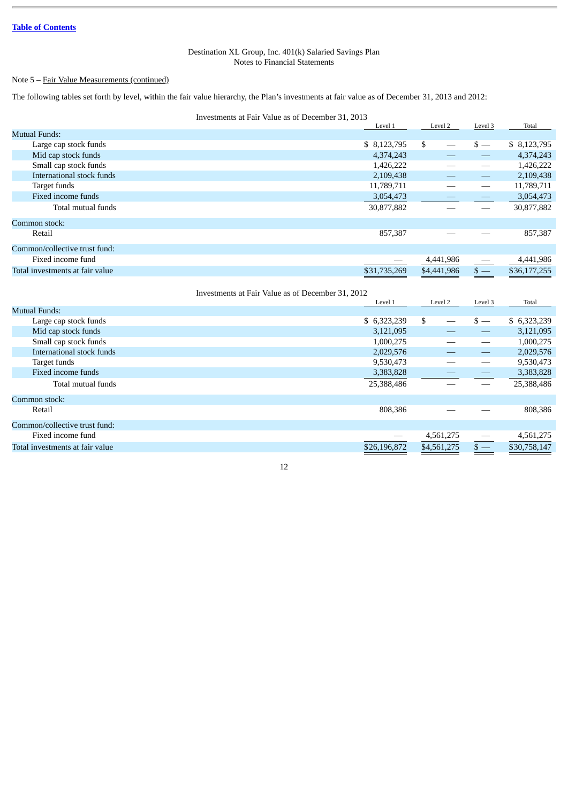## Note 5 – Fair Value Measurements (continued)

The following tables set forth by level, within the fair value hierarchy, the Plan's investments at fair value as of December 31, 2013 and 2012:

Investments at Fair Value as of December 31, 2013

|                                 |                                                   | Level 1      | Level 2     | Level 3        | Total        |
|---------------------------------|---------------------------------------------------|--------------|-------------|----------------|--------------|
| <b>Mutual Funds:</b>            |                                                   |              |             |                |              |
| Large cap stock funds           |                                                   | \$8,123,795  | S.          | $\mathbf{s}$ — | \$ 8,123,795 |
| Mid cap stock funds             |                                                   | 4,374,243    |             |                | 4,374,243    |
| Small cap stock funds           |                                                   | 1,426,222    |             |                | 1,426,222    |
| International stock funds       |                                                   | 2,109,438    |             |                | 2,109,438    |
| Target funds                    |                                                   | 11,789,711   |             |                | 11,789,711   |
| Fixed income funds              |                                                   | 3,054,473    |             |                | 3,054,473    |
| Total mutual funds              |                                                   | 30,877,882   |             |                | 30,877,882   |
| Common stock:                   |                                                   |              |             |                |              |
| Retail                          |                                                   | 857,387      |             |                | 857,387      |
| Common/collective trust fund:   |                                                   |              |             |                |              |
| Fixed income fund               |                                                   |              | 4,441,986   |                | 4,441,986    |
| Total investments at fair value |                                                   | \$31,735,269 | \$4,441,986 | $\frac{1}{2}$  | \$36,177,255 |
|                                 | Investments at Fair Value as of December 31, 2012 |              |             |                |              |

|                                 | Level 1      | Level 2     | Level 3        | Total        |
|---------------------------------|--------------|-------------|----------------|--------------|
| <b>Mutual Funds:</b>            |              |             |                |              |
| Large cap stock funds           | \$6,323,239  | S.          | $\mathbf{s}$ — | \$ 6,323,239 |
| Mid cap stock funds             | 3,121,095    |             |                | 3,121,095    |
| Small cap stock funds           | 1,000,275    |             |                | 1,000,275    |
| International stock funds       | 2,029,576    |             |                | 2,029,576    |
| Target funds                    | 9,530,473    |             |                | 9,530,473    |
| Fixed income funds              | 3,383,828    |             |                | 3,383,828    |
| Total mutual funds              | 25,388,486   |             |                | 25,388,486   |
| Common stock:                   |              |             |                |              |
| Retail                          | 808,386      |             |                | 808,386      |
| Common/collective trust fund:   |              |             |                |              |
| Fixed income fund               |              | 4,561,275   |                | 4,561,275    |
| Total investments at fair value | \$26,196,872 | \$4,561,275 | $\frac{1}{2}$  | \$30,758,147 |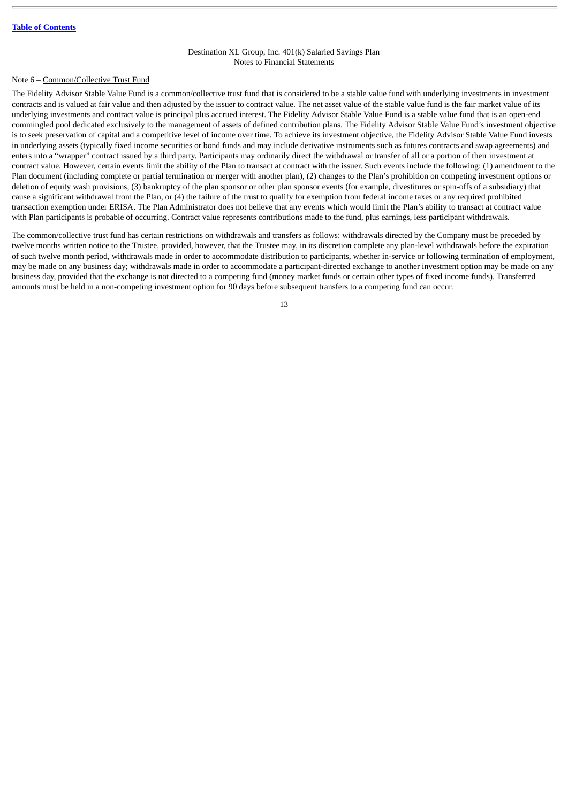#### Note 6 – Common/Collective Trust Fund

The Fidelity Advisor Stable Value Fund is a common/collective trust fund that is considered to be a stable value fund with underlying investments in investment contracts and is valued at fair value and then adjusted by the issuer to contract value. The net asset value of the stable value fund is the fair market value of its underlying investments and contract value is principal plus accrued interest. The Fidelity Advisor Stable Value Fund is a stable value fund that is an open-end commingled pool dedicated exclusively to the management of assets of defined contribution plans. The Fidelity Advisor Stable Value Fund's investment objective is to seek preservation of capital and a competitive level of income over time. To achieve its investment objective, the Fidelity Advisor Stable Value Fund invests in underlying assets (typically fixed income securities or bond funds and may include derivative instruments such as futures contracts and swap agreements) and enters into a "wrapper" contract issued by a third party. Participants may ordinarily direct the withdrawal or transfer of all or a portion of their investment at contract value. However, certain events limit the ability of the Plan to transact at contract with the issuer. Such events include the following: (1) amendment to the Plan document (including complete or partial termination or merger with another plan), (2) changes to the Plan's prohibition on competing investment options or deletion of equity wash provisions, (3) bankruptcy of the plan sponsor or other plan sponsor events (for example, divestitures or spin-offs of a subsidiary) that cause a significant withdrawal from the Plan, or (4) the failure of the trust to qualify for exemption from federal income taxes or any required prohibited transaction exemption under ERISA. The Plan Administrator does not believe that any events which would limit the Plan's ability to transact at contract value with Plan participants is probable of occurring. Contract value represents contributions made to the fund, plus earnings, less participant withdrawals.

The common/collective trust fund has certain restrictions on withdrawals and transfers as follows: withdrawals directed by the Company must be preceded by twelve months written notice to the Trustee, provided, however, that the Trustee may, in its discretion complete any plan-level withdrawals before the expiration of such twelve month period, withdrawals made in order to accommodate distribution to participants, whether in-service or following termination of employment, may be made on any business day; withdrawals made in order to accommodate a participant-directed exchange to another investment option may be made on any business day, provided that the exchange is not directed to a competing fund (money market funds or certain other types of fixed income funds). Transferred amounts must be held in a non-competing investment option for 90 days before subsequent transfers to a competing fund can occur.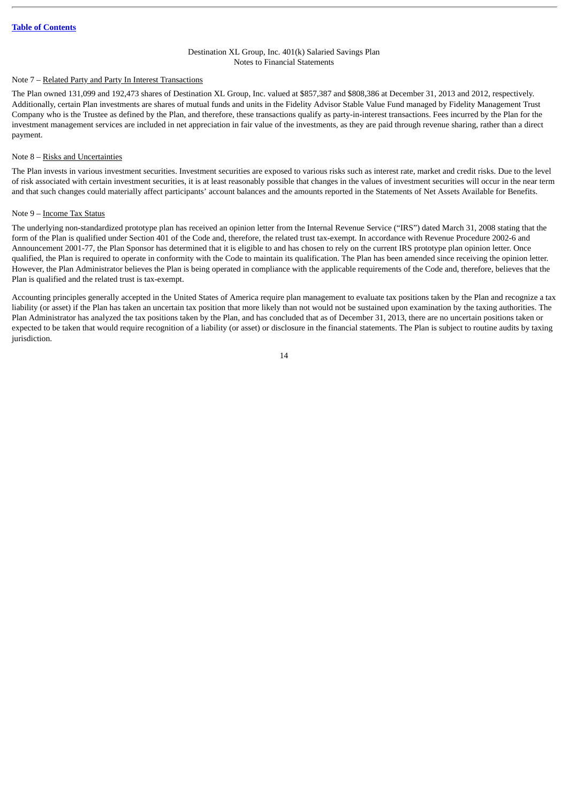#### Note 7 – Related Party and Party In Interest Transactions

The Plan owned 131,099 and 192,473 shares of Destination XL Group, Inc. valued at \$857,387 and \$808,386 at December 31, 2013 and 2012, respectively. Additionally, certain Plan investments are shares of mutual funds and units in the Fidelity Advisor Stable Value Fund managed by Fidelity Management Trust Company who is the Trustee as defined by the Plan, and therefore, these transactions qualify as party-in-interest transactions. Fees incurred by the Plan for the investment management services are included in net appreciation in fair value of the investments, as they are paid through revenue sharing, rather than a direct payment.

#### Note 8 – Risks and Uncertainties

The Plan invests in various investment securities. Investment securities are exposed to various risks such as interest rate, market and credit risks. Due to the level of risk associated with certain investment securities, it is at least reasonably possible that changes in the values of investment securities will occur in the near term and that such changes could materially affect participants' account balances and the amounts reported in the Statements of Net Assets Available for Benefits.

#### Note 9 – Income Tax Status

The underlying non-standardized prototype plan has received an opinion letter from the Internal Revenue Service ("IRS") dated March 31, 2008 stating that the form of the Plan is qualified under Section 401 of the Code and, therefore, the related trust tax-exempt. In accordance with Revenue Procedure 2002-6 and Announcement 2001-77, the Plan Sponsor has determined that it is eligible to and has chosen to rely on the current IRS prototype plan opinion letter. Once qualified, the Plan is required to operate in conformity with the Code to maintain its qualification. The Plan has been amended since receiving the opinion letter. However, the Plan Administrator believes the Plan is being operated in compliance with the applicable requirements of the Code and, therefore, believes that the Plan is qualified and the related trust is tax-exempt.

Accounting principles generally accepted in the United States of America require plan management to evaluate tax positions taken by the Plan and recognize a tax liability (or asset) if the Plan has taken an uncertain tax position that more likely than not would not be sustained upon examination by the taxing authorities. The Plan Administrator has analyzed the tax positions taken by the Plan, and has concluded that as of December 31, 2013, there are no uncertain positions taken or expected to be taken that would require recognition of a liability (or asset) or disclosure in the financial statements. The Plan is subject to routine audits by taxing jurisdiction.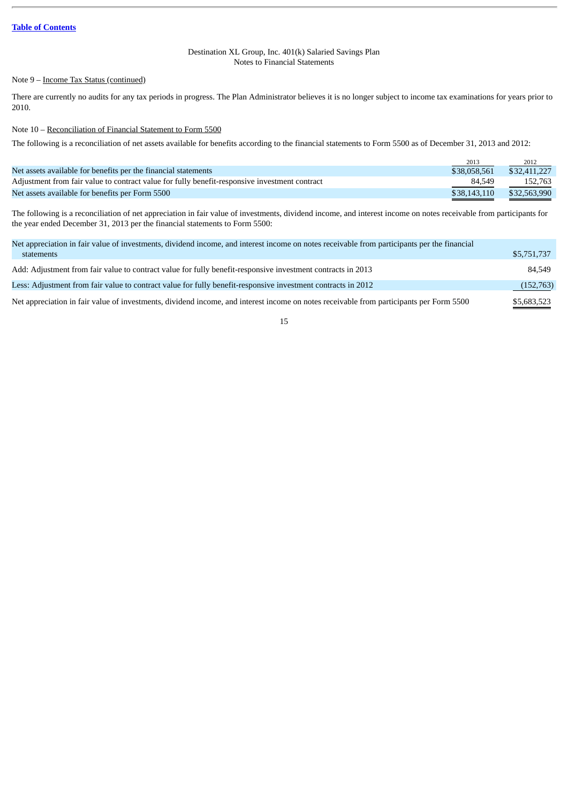#### Note 9 – Income Tax Status (continued)

There are currently no audits for any tax periods in progress. The Plan Administrator believes it is no longer subject to income tax examinations for years prior to 2010.

Note 10 – Reconciliation of Financial Statement to Form 5500

The following is a reconciliation of net assets available for benefits according to the financial statements to Form 5500 as of December 31, 2013 and 2012:

|                                                                                               | 2013         | 2012         |
|-----------------------------------------------------------------------------------------------|--------------|--------------|
| Net assets available for benefits per the financial statements                                | \$38,058,561 | \$32,411,227 |
| Adjustment from fair value to contract value for fully benefit-responsive investment contract | 84.549       | 152,763      |
| Net assets available for benefits per Form 5500                                               | \$38,143,110 | \$32,563,990 |

The following is a reconciliation of net appreciation in fair value of investments, dividend income, and interest income on notes receivable from participants for the year ended December 31, 2013 per the financial statements to Form 5500:

| Net appreciation in fair value of investments, dividend income, and interest income on notes receivable from participants per the financial |             |
|---------------------------------------------------------------------------------------------------------------------------------------------|-------------|
| statements                                                                                                                                  | \$5,751,737 |
| Add: Adjustment from fair value to contract value for fully benefit-responsive investment contracts in 2013                                 | 84.549      |
| Less: Adjustment from fair value to contract value for fully benefit-responsive investment contracts in 2012                                | (152,763)   |
| Net appreciation in fair value of investments, dividend income, and interest income on notes receivable from participants per Form 5500     | \$5,683,523 |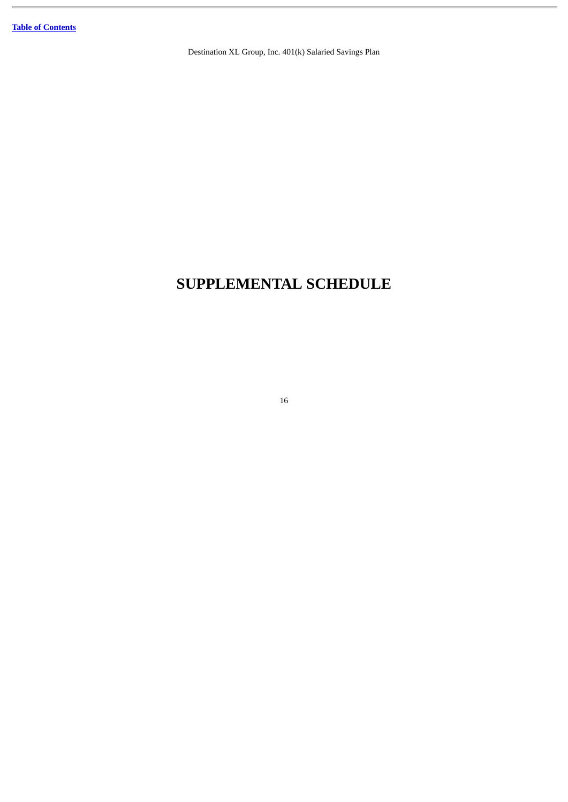# <span id="page-17-0"></span>**SUPPLEMENTAL SCHEDULE**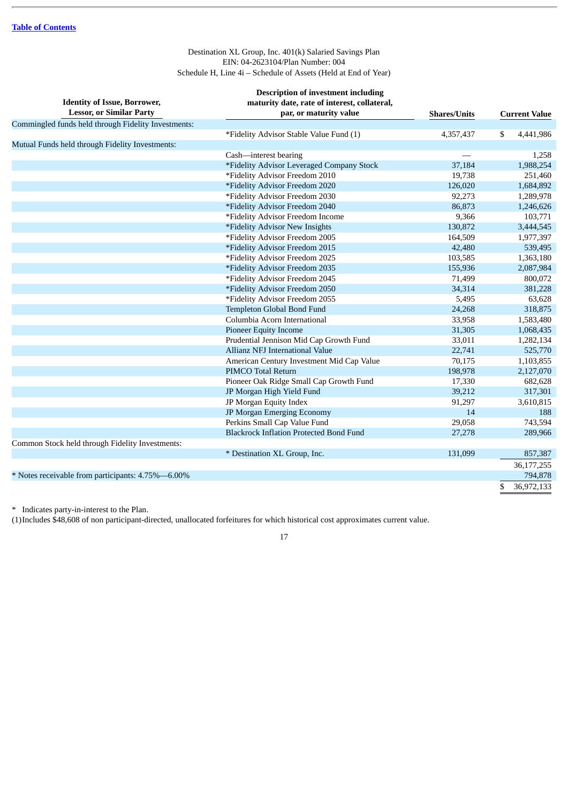## Destination XL Group, Inc. 401(k) Salaried Savings Plan EIN: 04-2623104/Plan Number: 004 Schedule H, Line 4i – Schedule of Assets (Held at End of Year)

<span id="page-18-0"></span>

|                                                     | <b>Description of investment including</b>     |                     |                      |
|-----------------------------------------------------|------------------------------------------------|---------------------|----------------------|
| <b>Identity of Issue, Borrower,</b>                 | maturity date, rate of interest, collateral,   |                     |                      |
| <b>Lessor, or Similar Party</b>                     | par, or maturity value                         | <b>Shares/Units</b> | <b>Current Value</b> |
| Commingled funds held through Fidelity Investments: |                                                |                     |                      |
|                                                     | *Fidelity Advisor Stable Value Fund (1)        | 4,357,437           | \$<br>4,441,986      |
| Mutual Funds held through Fidelity Investments:     |                                                |                     |                      |
|                                                     | Cash-interest bearing                          |                     | 1,258                |
|                                                     | *Fidelity Advisor Leveraged Company Stock      | 37,184              | 1,988,254            |
|                                                     | *Fidelity Advisor Freedom 2010                 | 19,738              | 251,460              |
|                                                     | *Fidelity Advisor Freedom 2020                 | 126,020             | 1,684,892            |
|                                                     | *Fidelity Advisor Freedom 2030                 | 92,273              | 1,289,978            |
|                                                     | *Fidelity Advisor Freedom 2040                 | 86,873              | 1,246,626            |
|                                                     | *Fidelity Advisor Freedom Income               | 9,366               | 103,771              |
|                                                     | *Fidelity Advisor New Insights                 | 130,872             | 3,444,545            |
|                                                     | *Fidelity Advisor Freedom 2005                 | 164,509             | 1,977,397            |
|                                                     | *Fidelity Advisor Freedom 2015                 | 42,480              | 539,495              |
|                                                     | *Fidelity Advisor Freedom 2025                 | 103,585             | 1,363,180            |
|                                                     | *Fidelity Advisor Freedom 2035                 | 155,936             | 2,087,984            |
|                                                     | *Fidelity Advisor Freedom 2045                 | 71,499              | 800,072              |
|                                                     | *Fidelity Advisor Freedom 2050                 | 34,314              | 381,228              |
|                                                     | *Fidelity Advisor Freedom 2055                 | 5,495               | 63,628               |
|                                                     | Templeton Global Bond Fund                     | 24,268              | 318,875              |
|                                                     | Columbia Acorn International                   | 33,958              | 1,583,480            |
|                                                     | Pioneer Equity Income                          | 31,305              | 1,068,435            |
|                                                     | Prudential Jennison Mid Cap Growth Fund        | 33,011              | 1,282,134            |
|                                                     | Allianz NFJ International Value                | 22,741              | 525,770              |
|                                                     | American Century Investment Mid Cap Value      | 70,175              | 1,103,855            |
|                                                     | <b>PIMCO</b> Total Return                      | 198,978             | 2,127,070            |
|                                                     | Pioneer Oak Ridge Small Cap Growth Fund        | 17,330              | 682,628              |
|                                                     | JP Morgan High Yield Fund                      | 39,212              | 317,301              |
|                                                     | JP Morgan Equity Index                         | 91,297              | 3,610,815            |
|                                                     | JP Morgan Emerging Economy                     | 14                  | 188                  |
|                                                     | Perkins Small Cap Value Fund                   | 29,058              | 743,594              |
|                                                     | <b>Blackrock Inflation Protected Bond Fund</b> | 27,278              | 289,966              |
| Common Stock held through Fidelity Investments:     |                                                |                     |                      |
|                                                     | * Destination XL Group, Inc.                   | 131,099             | 857,387              |
|                                                     |                                                |                     | 36,177,255           |
| * Notes receivable from participants: 4.75%-6.00%   |                                                |                     | 794,878              |
|                                                     |                                                |                     | 36,972,133<br>\$     |
|                                                     |                                                |                     |                      |

\* Indicates party-in-interest to the Plan.

(1)Includes \$48,608 of non participant-directed, unallocated forfeitures for which historical cost approximates current value.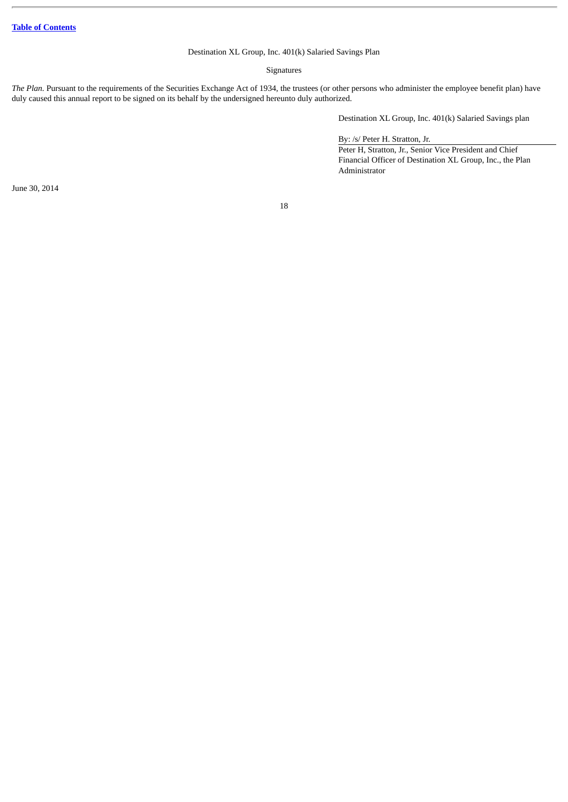## Signatures

*The Plan.* Pursuant to the requirements of the Securities Exchange Act of 1934, the trustees (or other persons who administer the employee benefit plan) have duly caused this annual report to be signed on its behalf by the undersigned hereunto duly authorized.

Destination XL Group, Inc. 401(k) Salaried Savings plan

By: /s/ Peter H. Stratton, Jr.

Peter H, Stratton, Jr., Senior Vice President and Chief Financial Officer of Destination XL Group, Inc., the Plan Administrator

June 30, 2014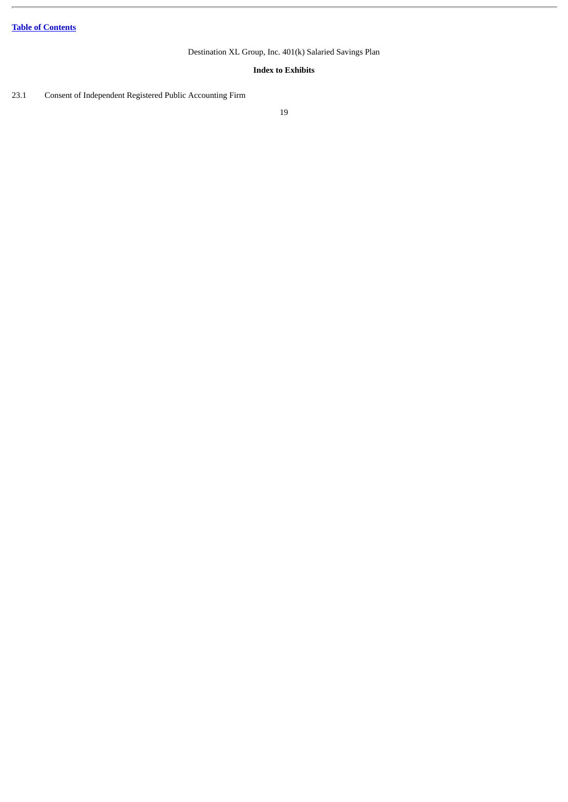## **Index to Exhibits**

23.1 Consent of Independent Registered Public Accounting Firm